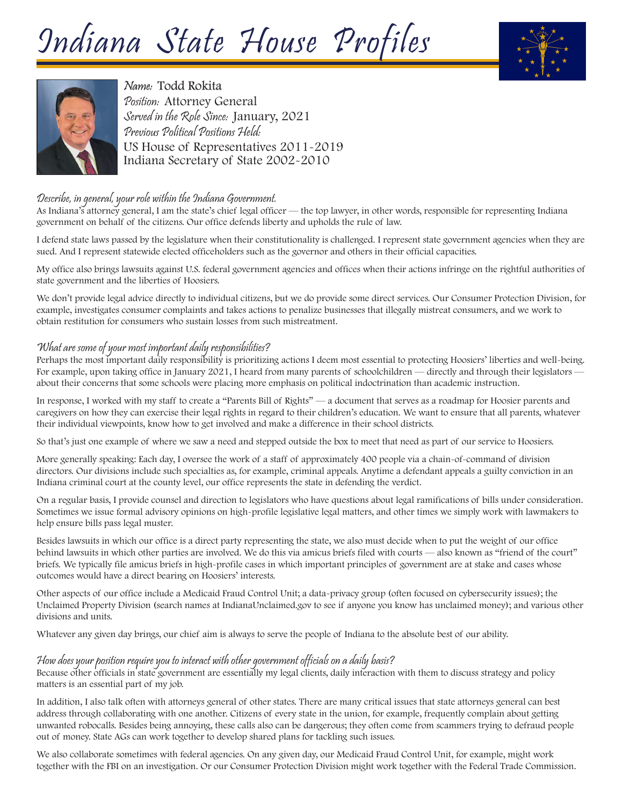# Indiana State House Profiles





# Name: Todd Rokita

Position: Attorney General Served in the Role Since: January, 2021 Previous Political Positions Held: US House of Representatives 2011-2019 Indiana Secretary of State 2002-2010

# Describe, in general, your role within the Indiana Government.

As Indiana's attorney general, I am the state's chief legal officer — the top lawyer, in other words, responsible for representing Indiana government on behalf of the citizens. Our office defends liberty and upholds the rule of law.

I defend state laws passed by the legislature when their constitutionality is challenged. I represent state government agencies when they are sued. And I represent statewide elected officeholders such as the governor and others in their official capacities.

My office also brings lawsuits against U.S. federal government agencies and offices when their actions infringe on the rightful authorities of state government and the liberties of Hoosiers.

We don't provide legal advice directly to individual citizens, but we do provide some direct services. Our Consumer Protection Division, for example, investigates consumer complaints and takes actions to penalize businesses that illegally mistreat consumers, and we work to obtain restitution for consumers who sustain losses from such mistreatment.

#### What are some of your most important daily responsibilities?

Perhaps the most important daily responsibility is prioritizing actions I deem most essential to protecting Hoosiers' liberties and well-being. For example, upon taking office in January 2021, I heard from many parents of schoolchildren — directly and through their legislators about their concerns that some schools were placing more emphasis on political indoctrination than academic instruction.

In response, I worked with my staff to create a "Parents Bill of Rights" — a document that serves as a roadmap for Hoosier parents and caregivers on how they can exercise their legal rights in regard to their children's education. We want to ensure that all parents, whatever their individual viewpoints, know how to get involved and make a difference in their school districts.

So that's just one example of where we saw a need and stepped outside the box to meet that need as part of our service to Hoosiers.

More generally speaking: Each day, I oversee the work of a staff of approximately 400 people via a chain-of-command of division directors. Our divisions include such specialties as, for example, criminal appeals. Anytime a defendant appeals a guilty conviction in an Indiana criminal court at the county level, our office represents the state in defending the verdict.

On a regular basis, I provide counsel and direction to legislators who have questions about legal ramifications of bills under consideration. Sometimes we issue formal advisory opinions on high-profile legislative legal matters, and other times we simply work with lawmakers to help ensure bills pass legal muster.

Besides lawsuits in which our office is a direct party representing the state, we also must decide when to put the weight of our office behind lawsuits in which other parties are involved. We do this via amicus briefs filed with courts — also known as "friend of the court" briefs. We typically file amicus briefs in high-profile cases in which important principles of government are at stake and cases whose outcomes would have a direct bearing on Hoosiers' interests.

Other aspects of our office include a Medicaid Fraud Control Unit; a data-privacy group (often focused on cybersecurity issues); the Unclaimed Property Division (search names at IndianaUnclaimed.gov to see if anyone you know has unclaimed money); and various other divisions and units.

Whatever any given day brings, our chief aim is always to serve the people of Indiana to the absolute best of our ability.

# How does your position require you to interact with other government officials on a daily basis?

Because other officials in state government are essentially my legal clients, daily interaction with them to discuss strategy and policy matters is an essential part of my job.

In addition, I also talk often with attorneys general of other states. There are many critical issues that state attorneys general can best address through collaborating with one another. Citizens of every state in the union, for example, frequently complain about getting unwanted robocalls. Besides being annoying, these calls also can be dangerous; they often come from scammers trying to defraud people out of money. State AGs can work together to develop shared plans for tackling such issues.

We also collaborate sometimes with federal agencies. On any given day, our Medicaid Fraud Control Unit, for example, might work together with the FBI on an investigation. Or our Consumer Protection Division might work together with the Federal Trade Commission.